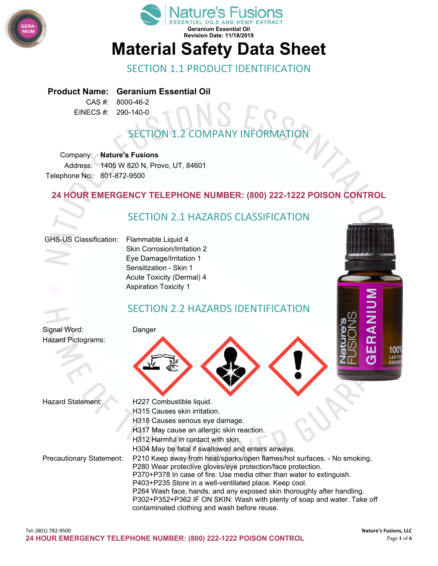



## SECTION 1.1 PRODUCT IDENTIFICATION

**Product Name: Geranium Essential Oil**

CAS #: 8000-46-2 EINECS #: 290-140-0

## **SECTION 1.2 COMPANY INFORMAT**

Company: **Nature's Fusions** Address: 1405 W 820 N, Provo, UT, 84601 Telephone No: 801-872-9500

#### **24 HOUR EMERGENCY TELEPHONE NUMBER: (800) 222-1222 POISON CONTROL**

## SECTION 2.1 HAZARDS CLASSIFICATION

#### GHS-US Classification: Flammable Liquid 4

Skin Corrosion/Irritation 2 Eye Damage/Irritation 1 Sensitization - Skin 1 Acute Toxicity (Dermal) 4 Aspiration Toxicity 1

## SECTION 2.2 HAZARDS IDENTIFICATION

Signal Word: Danger Hazard Pictograms:





- Hazard Statement: H227 Combustible liquid.
	- H315 Causes skin irritation.
	- H318 Causes serious eye damage.
	- H317 May cause an allergic skin reaction.
	- H312 Harmful in contact with skin.
- Precautionary Statement: P210 Keep away from heat/sparks/open flames/hot surfaces. No smoking.
	- P280 Wear protective gloves/eye protection/face protection.

H304 May be fatal if swallowed and enters airways.

- P370+P378 In case of fire: Use media other than water to extinguish.
- P403+P235 Store in a well-ventilated place. Keep cool.
- P264 Wash face, hands, and any exposed skin thoroughly after handling.
	- P302+P352+P362 IF ON SKIN: Wash with plenty of soap and water. Take off contaminated clothing and wash before reuse.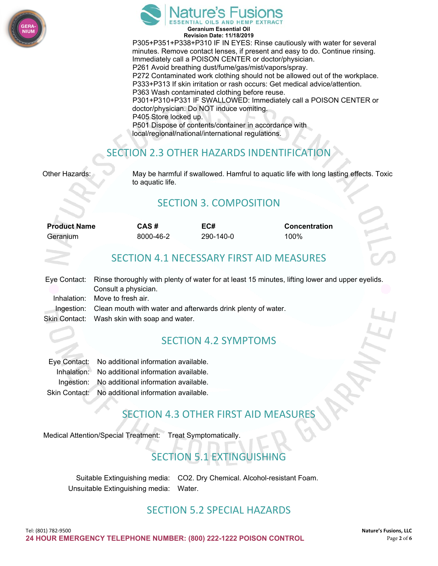



**Revision Date: 11/18/2019** P305+P351+P338+P310 IF IN EYES: Rinse cautiously with water for several minutes. Remove contact lenses, if present and easy to do. Continue rinsing. Immediately call a POISON CENTER or doctor/physician. P261 Avoid breathing dust/fume/gas/mist/vapors/spray. P272 Contaminated work clothing should not be allowed out of the workplace. P333+P313 If skin irritation or rash occurs: Get medical advice/attention. P363 Wash contaminated clothing before reuse. P301+P310+P331 IF SWALLOWED: Immediately call a POISON CENTER or doctor/physician. Do NOT induce vomiting. P405 Store locked up. P501 Dispose of contents/container in accordance with local/regional/national/international regulations.

## SECTION 2.3 OTHER HAZARDS INDENTIFICATION

Other Hazards: May be harmful if swallowed. Hamfrul to aquatic life with long lasting effects. Toxic to aquatic life.

## SECTION 3. COMPOSITION

| <b>Product Name</b> | CAS #     | EC#       | <b>Concentration</b> |
|---------------------|-----------|-----------|----------------------|
| Geranium            | 8000-46-2 | 290-140-0 | 100%                 |
|                     |           |           |                      |

## SECTION 4.1 NECESSARY FIRST AID MEASURES

| Eye Contact: Rinse thoroughly with plenty of water for at least 15 minutes, lifting lower and upper eyelids. |
|--------------------------------------------------------------------------------------------------------------|
| Consult a physician.                                                                                         |
| Inhalation: Move to fresh air.                                                                               |
| Ingestion: Clean mouth with water and afterwards drink plenty of water.                                      |
| Skin Contact: Wash skin with soap and water.                                                                 |

## SECTION 4.2 SYMPTOMS

| Eye Contact: No additional information available.  |
|----------------------------------------------------|
| Inhalation: No additional information available.   |
| Ingestion: No additional information available.    |
| Skin Contact: No additional information available. |

## **SECTION 4.3 OTHER FIRST AID MEASUR**

Medical Attention/Special Treatment: Treat Symptomatically.

## SECTION 5.1 EXTINGUISHING

Suitable Extinguishing media: CO2. Dry Chemical. Alcohol-resistant Foam. Unsuitable Extinguishing media: Water.

## SECTION 5.2 SPECIAL HAZARDS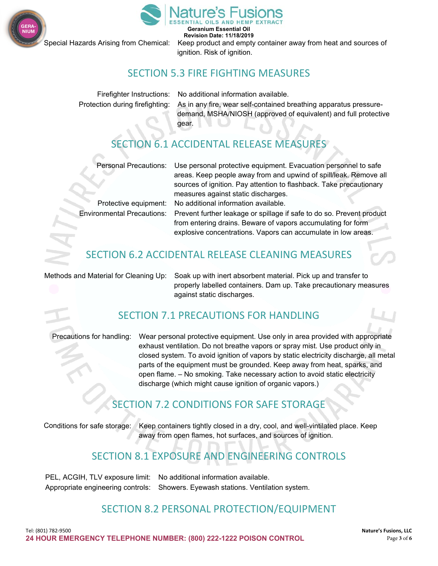



**Geranium Essential Oil Revision Date: 11/18/2019**

Special Hazards Arising from Chemical: Keep product and empty container away from heat and sources of ignition. Risk of ignition.

## SECTION 5.3 FIRE FIGHTING MEASURES

Firefighter Instructions: No additional information available. Protection during firefighting: As in any fire, wear self-contained breathing apparatus pressuredemand, MSHA/NIOSH (approved of equivalent) and full protective gear.

## SECTION 6.1 ACCIDENTAL RELEASE MEASURES

Personal Precautions: Use personal protective equipment. Evacuation personnel to safe areas. Keep people away from and upwind of spill/leak. Remove all sources of ignition. Pay attention to flashback. Take precautionary measures against static discharges.

Protective equipment: No additional information available.

Environmental Precautions: Prevent further leakage or spillage if safe to do so. Prevent product from entering drains. Beware of vapors accumulating for form explosive concentrations. Vapors can accumulate in low areas.

## SECTION 6.2 ACCIDENTAL RELEASE CLEANING MEASURES

Methods and Material for Cleaning Up: Soak up with inert absorbent material. Pick up and transfer to properly labelled containers. Dam up. Take precautionary measures against static discharges.

## SECTION 7.1 PRECAUTIONS FOR HANDLING

Precautions for handling: Wear personal protective equipment. Use only in area provided with appropriate exhaust ventilation. Do not breathe vapors or spray mist. Use product only in closed system. To avoid ignition of vapors by static electricity discharge, all metal parts of the equipment must be grounded. Keep away from heat, sparks, and open flame. – No smoking. Take necessary action to avoid static electricity discharge (which might cause ignition of organic vapors.)

## SECTION 7.2 CONDITIONS FOR SAFE STORAGE

Conditions for safe storage: Keep containers tightly closed in a dry, cool, and well-vintilated place. Keep away from open flames, hot surfaces, and sources of ignition.

## SECTION 8.1 EXPOSURE AND ENGINEERING CONTROLS

PEL, ACGIH, TLV exposure limit: No additional information available. Appropriate engineering controls: Showers. Eyewash stations. Ventilation system.

## SECTION 8.2 PERSONAL PROTECTION/EQUIPMENT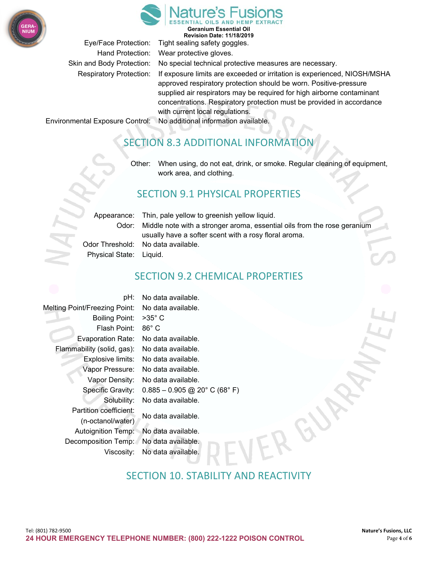



**Geranium Essential Oil Revision Date: 11/18/2019**

Eye/Face Protection: Tight sealing safety goggles.

Hand Protection: Wear protective gloves. Skin and Body Protection: No special technical protective measures are necessary. Respiratory Protection: If exposure limits are exceeded or irritation is experienced, NIOSH/MSHA approved respiratory protection should be worn. Positive-pressure supplied air respirators may be required for high airborne contaminant concentrations. Respiratory protection must be provided in accordance with current local regulations.

Environmental Exposure Control: No additional information available.

## SECTION 8.3 ADDITIONAL INFORMATION

Other: When using, do not eat, drink, or smoke. Regular cleaning of equipment, work area, and clothing.

## SECTION 9.1 PHYSICAL PROPERTIES

|                         | Appearance: Thin, pale yellow to greenish yellow liquid.                       |
|-------------------------|--------------------------------------------------------------------------------|
|                         |                                                                                |
|                         | Odor: Middle note with a stronger aroma, essential oils from the rose geranium |
|                         | usually have a softer scent with a rosy floral aroma.                          |
|                         | Odor Threshold: No data available.                                             |
| Physical State: Liquid. |                                                                                |

SECTION 9.2 CHEMICAL PROPERTIES

pH: No data available. Melting Point/Freezing Point: No data available. Boiling Point: >35° C Flash Point: 86° C Evaporation Rate: No data available. Flammability (solid, gas): No data available. Explosive limits: No data available. Vapor Pressure: No data available. Vapor Density: No data available. Specific Gravity: 0.885 – 0.905 @ 20° C (68° F) Solubility: No data available. Partition coefficient: No data available. (n-octanol/water) Autoignition Temp: No data available. Decomposition Temp: No data available. Viscosity: No data available.

## SECTION 10. STABILITY AND REACTIVITY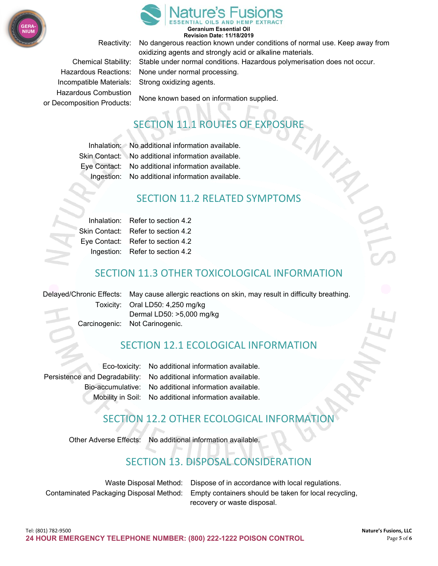



#### **Geranium Essential Oil Revision Date: 11/18/2019**

Incompatible Materials: Strong oxidizing agents. Hazardous Combustion

Reactivity: No dangerous reaction known under conditions of normal use. Keep away from oxidizing agents and strongly acid or alkaline materials. Chemical Stability: Stable under normal conditions. Hazardous polymerisation does not occur. Hazardous Reactions: None under normal processing.

None known based on information supplied. or Decomposition Products:

# SECTION 11.1 ROUTES OF EXPOSURE

| Inhalation: No additional information available.   |
|----------------------------------------------------|
| Skin Contact: No additional information available. |
| Eye Contact: No additional information available.  |
| Ingestion: No additional information available.    |

#### SECTION 11.2 RELATED SYMPTOMS

| Inhalation: Refer to section 4.2   |
|------------------------------------|
| Skin Contact: Refer to section 4.2 |
| Eye Contact: Refer to section 4.2  |
| Ingestion: Refer to section 4.2    |

## SECTION 11.3 OTHER TOXICOLOGICAL INFORMATION

Delayed/Chronic Effects: May cause allergic reactions on skin, may result in difficulty breathing. Toxicity: Oral LD50: 4,250 mg/kg Dermal LD50: >5,000 mg/kg Carcinogenic: Not Carinogenic.

## SECTION 12.1 ECOLOGICAL INFORMATION

Eco-toxicity: No additional information available. Persistence and Degradability: No additional information available. Bio-accumulative: No additional information available. Mobility in Soil: No additional information available.

## SECTION 12.2 OTHER ECOLOGICAL INFORMATION

Other Adverse Effects: No additional information available.

## SECTION 13. DISPOSAL CONSIDERATION

| Waste Disposal Method: Dispose of in accordance with local regulations.                       |
|-----------------------------------------------------------------------------------------------|
| Contaminated Packaging Disposal Method: Empty containers should be taken for local recycling, |
| recovery or waste disposal.                                                                   |